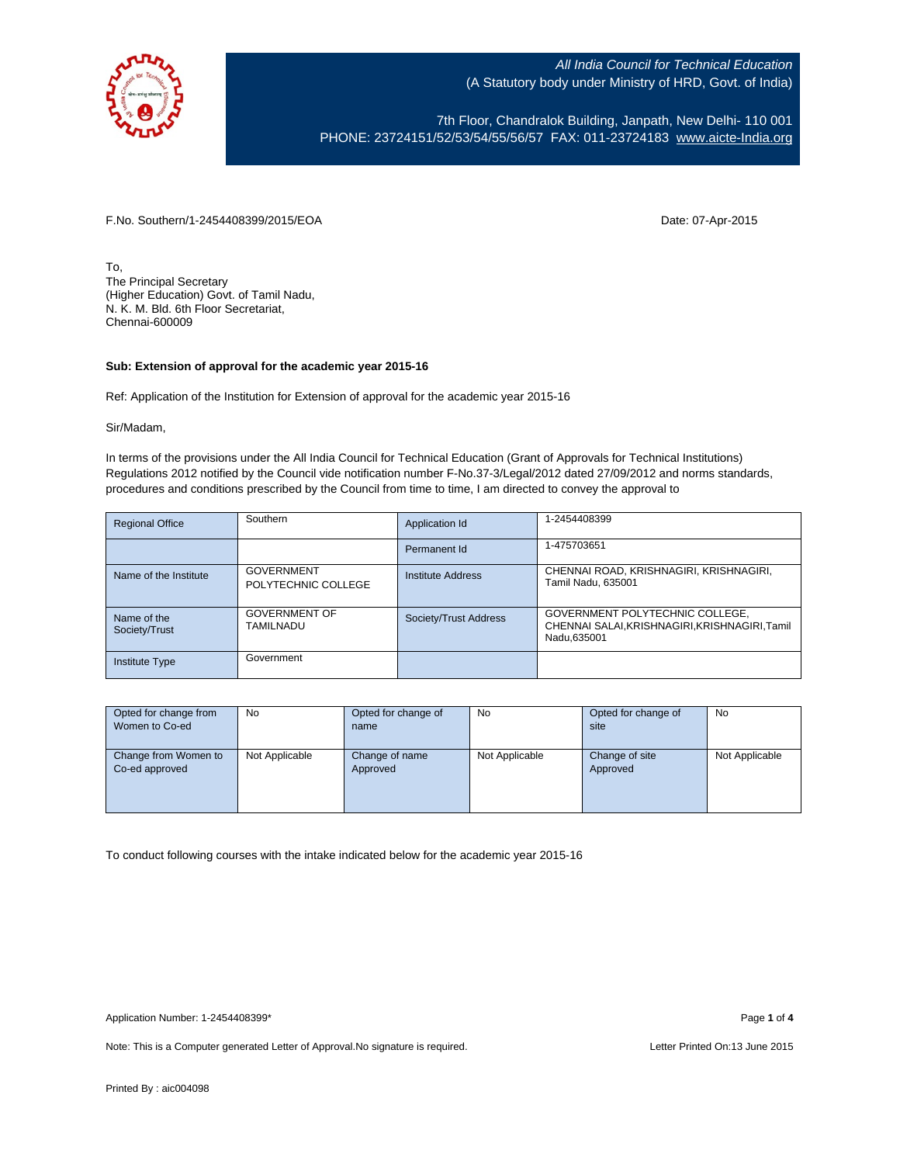

7th Floor, Chandralok Building, Janpath, New Delhi- 110 001 PHONE: 23724151/52/53/54/55/56/57 FAX: 011-23724183 [www.aicte-India.org](http://www.aicte-india.org/)

F.No. Southern/1-2454408399/2015/EOA Date: 07-Apr-2015

To, The Principal Secretary (Higher Education) Govt. of Tamil Nadu, N. K. M. Bld. 6th Floor Secretariat, Chennai-600009

## **Sub: Extension of approval for the academic year 2015-16**

Ref: Application of the Institution for Extension of approval for the academic year 2015-16

Sir/Madam,

In terms of the provisions under the All India Council for Technical Education (Grant of Approvals for Technical Institutions) Regulations 2012 notified by the Council vide notification number F-No.37-3/Legal/2012 dated 27/09/2012 and norms standards, procedures and conditions prescribed by the Council from time to time, I am directed to convey the approval to

| <b>Regional Office</b>       | Southern                                 | Application Id        | 1-2454408399                                                                                     |
|------------------------------|------------------------------------------|-----------------------|--------------------------------------------------------------------------------------------------|
|                              |                                          | Permanent Id          | 1-475703651                                                                                      |
| Name of the Institute        | <b>GOVERNMENT</b><br>POLYTECHNIC COLLEGE | Institute Address     | CHENNAI ROAD, KRISHNAGIRI, KRISHNAGIRI,<br>Tamil Nadu. 635001                                    |
| Name of the<br>Society/Trust | <b>GOVERNMENT OF</b><br>TAMILNADU        | Society/Trust Address | GOVERNMENT POLYTECHNIC COLLEGE,<br>CHENNAI SALAI, KRISHNAGIRI, KRISHNAGIRI, Tamil<br>Nadu.635001 |
| <b>Institute Type</b>        | Government                               |                       |                                                                                                  |

| Opted for change from | <b>No</b>      | Opted for change of | No             | Opted for change of | No             |
|-----------------------|----------------|---------------------|----------------|---------------------|----------------|
| Women to Co-ed        |                | name                |                | site                |                |
|                       |                |                     |                |                     |                |
| Change from Women to  | Not Applicable | Change of name      | Not Applicable | Change of site      | Not Applicable |
| Co-ed approved        |                | Approved            |                | Approved            |                |
|                       |                |                     |                |                     |                |
|                       |                |                     |                |                     |                |
|                       |                |                     |                |                     |                |

To conduct following courses with the intake indicated below for the academic year 2015-16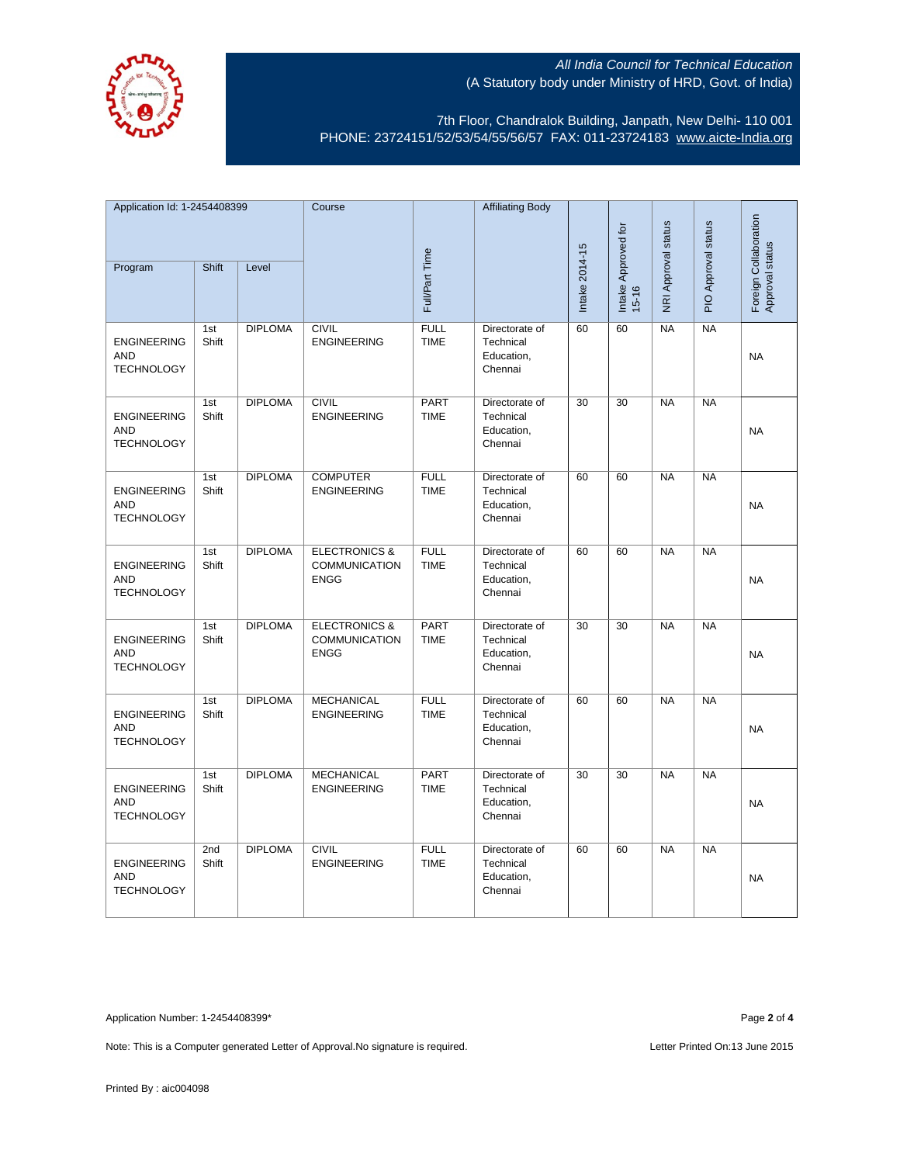

7th Floor, Chandralok Building, Janpath, New Delhi- 110 001 PHONE: 23724151/52/53/54/55/56/57 FAX: 011-23724183 [www.aicte-India.org](http://www.aicte-india.org/)

| Application Id: 1-2454408399                          |              | Course         |                                                                 | <b>Affiliating Body</b>    |                                                      |                |                     |                     |                     |                                          |
|-------------------------------------------------------|--------------|----------------|-----------------------------------------------------------------|----------------------------|------------------------------------------------------|----------------|---------------------|---------------------|---------------------|------------------------------------------|
| Program                                               | Shift        | Level          |                                                                 | Full/Part Time             |                                                      | Intake 2014-15 | Intake Approved for | NRI Approval status | PIO Approval status | Foreign Collaboration<br>Approval status |
|                                                       |              |                |                                                                 |                            |                                                      |                | $15 - 16$           |                     |                     |                                          |
| <b>ENGINEERING</b><br>AND<br><b>TECHNOLOGY</b>        | 1st<br>Shift | <b>DIPLOMA</b> | <b>CIVIL</b><br><b>ENGINEERING</b>                              | <b>FULL</b><br><b>TIME</b> | Directorate of<br>Technical<br>Education,<br>Chennai | 60             | 60                  | <b>NA</b>           | <b>NA</b>           | <b>NA</b>                                |
| <b>ENGINEERING</b><br><b>AND</b><br><b>TECHNOLOGY</b> | 1st<br>Shift | <b>DIPLOMA</b> | <b>CIVIL</b><br><b>ENGINEERING</b>                              | <b>PART</b><br><b>TIME</b> | Directorate of<br>Technical<br>Education,<br>Chennai | 30             | 30                  | NA                  | NA                  | <b>NA</b>                                |
| <b>ENGINEERING</b><br><b>AND</b><br><b>TECHNOLOGY</b> | 1st<br>Shift | <b>DIPLOMA</b> | <b>COMPUTER</b><br><b>ENGINEERING</b>                           | <b>FULL</b><br><b>TIME</b> | Directorate of<br>Technical<br>Education,<br>Chennai | 60             | 60                  | <b>NA</b>           | <b>NA</b>           | <b>NA</b>                                |
| <b>ENGINEERING</b><br>AND<br><b>TECHNOLOGY</b>        | 1st<br>Shift | <b>DIPLOMA</b> | <b>ELECTRONICS &amp;</b><br><b>COMMUNICATION</b><br><b>ENGG</b> | <b>FULL</b><br><b>TIME</b> | Directorate of<br>Technical<br>Education,<br>Chennai | 60             | 60                  | <b>NA</b>           | <b>NA</b>           | <b>NA</b>                                |
| <b>ENGINEERING</b><br><b>AND</b><br><b>TECHNOLOGY</b> | 1st<br>Shift | <b>DIPLOMA</b> | <b>ELECTRONICS &amp;</b><br>COMMUNICATION<br><b>ENGG</b>        | <b>PART</b><br><b>TIME</b> | Directorate of<br>Technical<br>Education,<br>Chennai | 30             | 30                  | <b>NA</b>           | $N_A$               | <b>NA</b>                                |
| <b>ENGINEERING</b><br><b>AND</b><br><b>TECHNOLOGY</b> | 1st<br>Shift | <b>DIPLOMA</b> | <b>MECHANICAL</b><br><b>ENGINEERING</b>                         | <b>FULL</b><br><b>TIME</b> | Directorate of<br>Technical<br>Education,<br>Chennai | 60             | 60                  | <b>NA</b>           | $N_A$               | <b>NA</b>                                |
| <b>ENGINEERING</b><br><b>AND</b><br><b>TECHNOLOGY</b> | 1st<br>Shift | <b>DIPLOMA</b> | <b>MECHANICAL</b><br><b>ENGINEERING</b>                         | PART<br><b>TIME</b>        | Directorate of<br>Technical<br>Education,<br>Chennai | 30             | 30                  | <b>NA</b>           | <b>NA</b>           | NA                                       |
| <b>ENGINEERING</b><br><b>AND</b><br><b>TECHNOLOGY</b> | 2nd<br>Shift | <b>DIPLOMA</b> | <b>CIVIL</b><br><b>ENGINEERING</b>                              | <b>FULL</b><br><b>TIME</b> | Directorate of<br>Technical<br>Education,<br>Chennai | 60             | 60                  | <b>NA</b>           | NA                  | <b>NA</b>                                |

Application Number: 1-2454408399\* Page **2** of **4**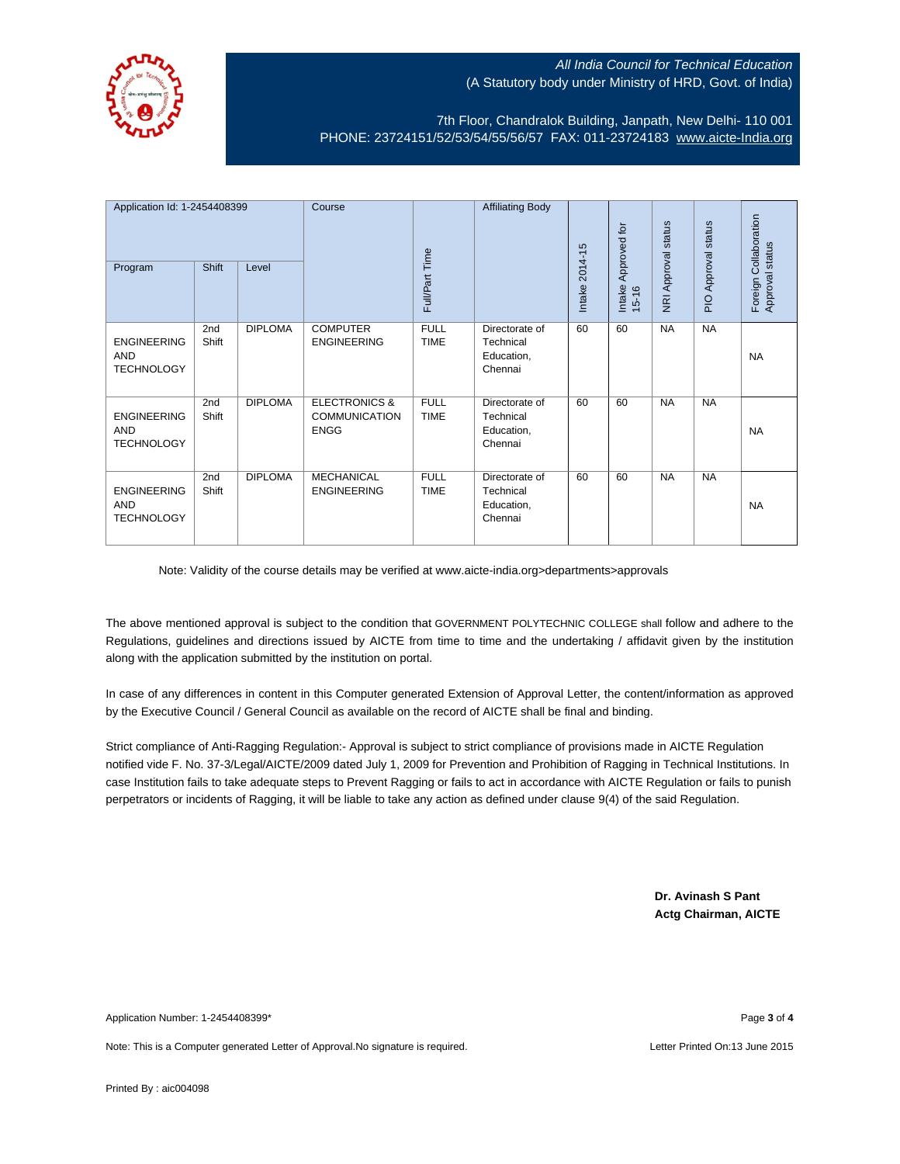

7th Floor, Chandralok Building, Janpath, New Delhi- 110 001 PHONE: 23724151/52/53/54/55/56/57 FAX: 011-23724183 [www.aicte-India.org](http://www.aicte-india.org/)

| Application Id: 1-2454408399<br>Program               | Shift        | Level          | Course                                                          | Full/Part Time             | <b>Affiliating Body</b>                              | 2014-15<br>Intake | Approved for<br>Intake<br>$15 - 16$ | NRI Approval status | status<br>PIO Approval | Foreign Collaboration<br>Approval status |
|-------------------------------------------------------|--------------|----------------|-----------------------------------------------------------------|----------------------------|------------------------------------------------------|-------------------|-------------------------------------|---------------------|------------------------|------------------------------------------|
| <b>ENGINEERING</b><br><b>AND</b><br><b>TECHNOLOGY</b> | 2nd<br>Shift | <b>DIPLOMA</b> | <b>COMPUTER</b><br><b>ENGINEERING</b>                           | <b>FULL</b><br><b>TIME</b> | Directorate of<br>Technical<br>Education,<br>Chennai | 60                | 60                                  | <b>NA</b>           | <b>NA</b>              | <b>NA</b>                                |
| <b>ENGINEERING</b><br><b>AND</b><br><b>TECHNOLOGY</b> | 2nd<br>Shift | <b>DIPLOMA</b> | <b>ELECTRONICS &amp;</b><br><b>COMMUNICATION</b><br><b>ENGG</b> | <b>FULL</b><br><b>TIME</b> | Directorate of<br>Technical<br>Education,<br>Chennai | 60                | 60                                  | <b>NA</b>           | <b>NA</b>              | <b>NA</b>                                |
| <b>ENGINEERING</b><br><b>AND</b><br><b>TECHNOLOGY</b> | 2nd<br>Shift | <b>DIPLOMA</b> | <b>MECHANICAL</b><br><b>ENGINEERING</b>                         | <b>FULL</b><br><b>TIME</b> | Directorate of<br>Technical<br>Education,<br>Chennai | 60                | 60                                  | <b>NA</b>           | <b>NA</b>              | <b>NA</b>                                |

Note: Validity of the course details may be verified at www.aicte-india.org>departments>approvals

The above mentioned approval is subject to the condition that GOVERNMENT POLYTECHNIC COLLEGE shall follow and adhere to the Regulations, guidelines and directions issued by AICTE from time to time and the undertaking / affidavit given by the institution along with the application submitted by the institution on portal.

In case of any differences in content in this Computer generated Extension of Approval Letter, the content/information as approved by the Executive Council / General Council as available on the record of AICTE shall be final and binding.

Strict compliance of Anti-Ragging Regulation:- Approval is subject to strict compliance of provisions made in AICTE Regulation notified vide F. No. 37-3/Legal/AICTE/2009 dated July 1, 2009 for Prevention and Prohibition of Ragging in Technical Institutions. In case Institution fails to take adequate steps to Prevent Ragging or fails to act in accordance with AICTE Regulation or fails to punish perpetrators or incidents of Ragging, it will be liable to take any action as defined under clause 9(4) of the said Regulation.

> **Dr. Avinash S Pant Actg Chairman, AICTE**